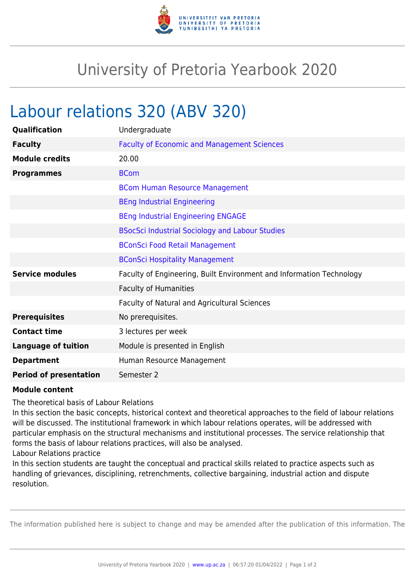

## University of Pretoria Yearbook 2020

## Labour relations 320 (ABV 320)

| Qualification                 | Undergraduate                                                        |
|-------------------------------|----------------------------------------------------------------------|
| <b>Faculty</b>                | <b>Faculty of Economic and Management Sciences</b>                   |
| <b>Module credits</b>         | 20.00                                                                |
| <b>Programmes</b>             | <b>BCom</b>                                                          |
|                               | <b>BCom Human Resource Management</b>                                |
|                               | <b>BEng Industrial Engineering</b>                                   |
|                               | <b>BEng Industrial Engineering ENGAGE</b>                            |
|                               | <b>BSocSci Industrial Sociology and Labour Studies</b>               |
|                               | <b>BConSci Food Retail Management</b>                                |
|                               | <b>BConSci Hospitality Management</b>                                |
| <b>Service modules</b>        | Faculty of Engineering, Built Environment and Information Technology |
|                               | <b>Faculty of Humanities</b>                                         |
|                               | Faculty of Natural and Agricultural Sciences                         |
| <b>Prerequisites</b>          | No prerequisites.                                                    |
| <b>Contact time</b>           | 3 lectures per week                                                  |
| <b>Language of tuition</b>    | Module is presented in English                                       |
| <b>Department</b>             | Human Resource Management                                            |
| <b>Period of presentation</b> | Semester 2                                                           |

## **Module content**

The theoretical basis of Labour Relations

In this section the basic concepts, historical context and theoretical approaches to the field of labour relations will be discussed. The institutional framework in which labour relations operates, will be addressed with particular emphasis on the structural mechanisms and institutional processes. The service relationship that forms the basis of labour relations practices, will also be analysed.

Labour Relations practice

In this section students are taught the conceptual and practical skills related to practice aspects such as handling of grievances, disciplining, retrenchments, collective bargaining, industrial action and dispute resolution.

The information published here is subject to change and may be amended after the publication of this information. The